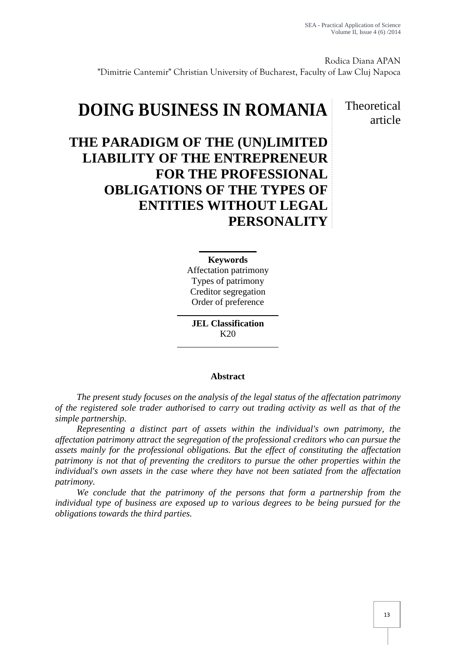Rodica Diana APAN "Dimitrie Cantemir" Christian University of Bucharest, Faculty of Law Cluj Napoca

# **DOING BUSINESS IN ROMANIA**

### **Theoretical** article

## **THE PARADIGM OF THE (UN)LIMITED LIABILITY OF THE ENTREPRENEUR FOR THE PROFESSIONAL OBLIGATIONS OF THE TYPES OF ENTITIES WITHOUT LEGAL PERSONALITY**

#### **Keywords**

Affectation patrimony Types of patrimony Creditor segregation Order of preference

**JEL Classification**  $K20$ 

#### **Abstract**

*The present study focuses on the analysis of the legal status of the affectation patrimony of the registered sole trader authorised to carry out trading activity as well as that of the simple partnership.*

*Representing a distinct part of assets within the individual's own patrimony, the affectation patrimony attract the segregation of the professional creditors who can pursue the assets mainly for the professional obligations. But the effect of constituting the affectation patrimony is not that of preventing the creditors to pursue the other properties within the individual's own assets in the case where they have not been satiated from the affectation patrimony.*

*We conclude that the patrimony of the persons that form a partnership from the individual type of business are exposed up to various degrees to be being pursued for the obligations towards the third parties.*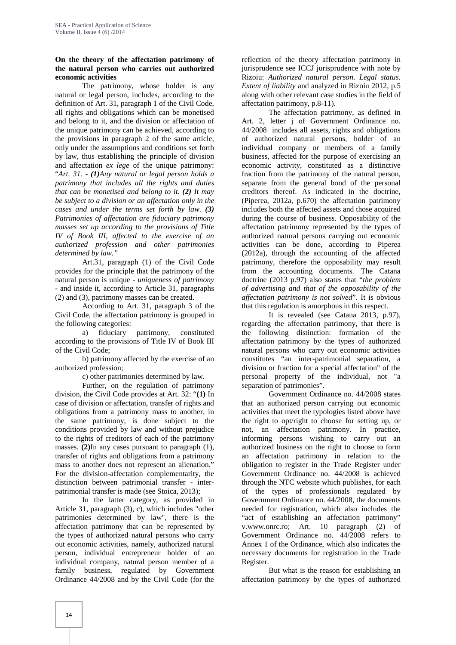#### **On the theory of the affectation patrimony of the natural person who carries out authorized economic activities**

The patrimony, whose holder is any natural or legal person, includes, according to the definition of Art. 31, paragraph 1 of the Civil Code, all rights and obligations which can be monetised and belong to it, and the division or affectation of the unique patrimony can be achieved, according to the provisions in paragraph 2 of the same article, only under the assumptions and conditions set forth by law, thus establishing the principle of division and affectation *ex lege* of the unique patrimony: "*Art. 31. - (1)Any natural or legal person holds a patrimony that includes all the rights and duties that can be monetised and belong to it. (2) It may be subject to a division or an affectation only in the cases and under the terms set forth by law. (3) Patrimonies of affectation are fiduciary patrimony masses set up according to the provisions of Title IV of Book III, affected to the exercise of an authorized profession and other patrimonies determined by law."*

Art.31, paragraph (1) of the Civil Code provides for the principle that the patrimony of the natural person is unique - *uniqueness of patrimony* - and inside it, according to Article 31, paragraphs (2) and (3), patrimony masses can be created.

According to Art. 31, paragraph 3 of the Civil Code, the affectation patrimony is grouped in the following categories:

a) fiduciary patrimony, constituted according to the provisions of Title IV of Book III of the Civil Code;

b) patrimony affected by the exercise of an authorized profession;

c) other patrimonies determined by law.

Further, on the regulation of patrimony division, the Civil Code provides at Art. 32: "**(1)** In case of division or affectation, transfer of rights and obligations from a patrimony mass to another, in the same patrimony, is done subject to the conditions provided by law and without prejudice to the rights of creditors of each of the patrimony masses. **(2)**In any cases pursuant to paragraph (1), transfer of rights and obligations from a patrimony mass to another does not represent an alienation." For the division-affectation complementarity, the distinction between patrimonial transfer - inter patrimonial transfer is made (see Stoica, 2013);

In the latter category, as provided in Article 31, paragraph (3), c), which includes "other patrimonies determined by law", there is the affectation patrimony that can be represented by the types of authorized natural persons who carry out economic activities, namely, authorized natural person, individual entrepreneur holder of an individual company, natural person member of a family business, regulated by Government Ordinance 44/2008 and by the Civil Code (for the

reflection of the theory affectation patrimony in jurisprudence see ICCJ jurisprudence with note by Rizoiu: *Authorized natural person*. *Legal status*. *Extent of liability* and analyzed in Rizoiu 2012, p.5 along with other relevant case studies in the field of affectation patrimony, p.8-11).

The affectation patrimony, as defined in Art. 2, letter j of Government Ordinance no. 44/2008 includes all assets, rights and obligations of authorized natural persons, holder of an individual company or members of a family business, affected for the purpose of exercising an economic activity, constituted as a distinctive fraction from the patrimony of the natural person, separate from the general bond of the personal creditors thereof. As indicated in the doctrine, (Piperea, 2012a, p.670) the affectation patrimony includes both the affected assets and those acquired during the course of business. Opposability of the affectation patrimony represented by the types of authorized natural persons carrying out economic activities can be done, according to Piperea (2012a), through the accounting of the affected patrimony, therefore the opposability may result from the accounting documents. The Catana doctrine (2013 p.97) also states that "*the problem of advertising and that of the opposability of the affectation patrimony is not solved*". It is obvious that this regulation is amorphous in this respect.

It is revealed (see Catana 2013, p.97), regarding the affectation patrimony, that there is the following distinction: formation of the affectation patrimony by the types of authorized natural persons who carry out economic activities constitutes "an inter-patrimonial separation, a division or fraction for a special affectation" of the personal property of the individual, not "a separation of patrimonies".

Government Ordinance no. 44/2008 states that an authorized person carrying out economic activities that meet the typologies listed above have the right to opt/right to choose for setting up, or not, an affectation patrimony. In practice, informing persons wishing to carry out an authorized business on the right to choose to form an affectation patrimony in relation to the obligation to register in the Trade Register under Government Ordinance no. 44/2008 is achieved through the NTC website which publishes, for each of the types of professionals regulated by Government Ordinance no. 44/2008, the documents needed for registration, which also includes the "act of establishing an affectation patrimony" v.www.onrc.ro; Art. 10 paragraph (2) of Government Ordinance no. 44/2008 refers to Annex 1 of the Ordinance, which also indicates the necessary documents for registration in the Trade Register.

But what is the reason for establishing an affectation patrimony by the types of authorized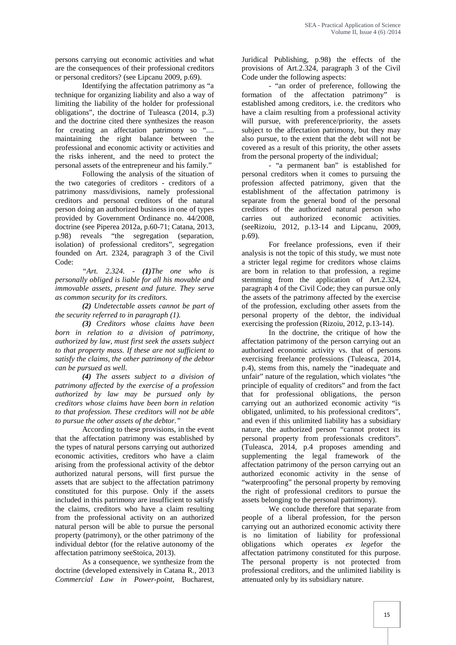persons carrying out economic activities and what are the consequences of their professional creditors or personal creditors? (see Lipcanu 2009, p.69).

Identifying the affectation patrimony as "a technique for organizing liability and also a way of limiting the liability of the holder for professional obligations", the doctrine of Tuleasca (2014, p.3) and the doctrine cited there synthesizes the reason for creating an affectation patrimony so ".... maintaining the right balance between the professional and economic activity or activities and the risks inherent, and the need to protect the personal assets of the entrepreneur and his family."

Following the analysis of the situation of the two categories of creditors - creditors of a patrimony mass/divisions, namely professional creditors and personal creditors of the natural person doing an authorized business in one of types provided by Government Ordinance no. 44/2008, doctrine (see Piperea 2012a, p.60-71; Catana, 2013, p.98) reveals "the segregation (separation, isolation) of professional creditors", segregation founded on Art. 2324, paragraph 3 of the Civil Code:

*"Art. 2.324. - (1)The one who is personally obliged is liable for all his movable and immovable assets, present and future. They serve as common security for its creditors.*

*(2) Undetectable assets cannot be part of the security referred to in paragraph (1).*

*(3) Creditors whose claims have been born in relation to a division of patrimony, authorized by law, must first seek the assets subject to that property mass. If these are not sufficient to satisfy the claims, the other patrimony of the debtor can be pursued as well.*

*(4) The assets subject to a division of patrimony affected by the exercise of a profession authorized by law may be pursued only by creditors whose claims have been born in relation to that profession. These creditors will not be able to pursue the other assets of the debtor."*

According to these provisions, in the event that the affectation patrimony was established by the types of natural persons carrying out authorized economic activities, creditors who have a claim arising from the professional activity of the debtor authorized natural persons, will first pursue the assets that are subject to the affectation patrimony constituted for this purpose. Only if the assets included in this patrimony are insufficient to satisfy the claims, creditors who have a claim resulting from the professional activity on an authorized natural person will be able to pursue the personal property (patrimony), or the other patrimony of the individual debtor (for the relative autonomy of the affectation patrimony seeStoica, 2013).

As a consequence, we synthesize from the doctrine (developed extensively in Catana R., 2013 *Commercial Law in Power-point*, Bucharest,

Juridical Publishing, p.98) the effects of the provisions of Art.2.324, paragraph 3 of the Civil Code under the following aspects:

- "an order of preference, following the formation of the affectation patrimony" is established among creditors, i.e. the creditors who have a claim resulting from a professional activity will pursue, with preference/priority, the assets subject to the affectation patrimony, but they may also pursue, to the extent that the debt will not be covered as a result of this priority, the other assets from the personal property of the individual;

- "a permanent ban" is established for personal creditors when it comes to pursuing the profession affected patrimony, given that the establishment of the affectation patrimony is separate from the general bond of the personal creditors of the authorized natural person who carries out authorized economic activities. (seeRizoiu, 2012, p.13-14 and Lipcanu, 2009, p.69).

For freelance professions, even if their analysis is not the topic of this study, we must note a stricter legal regime for creditors whose claims are born in relation to that profession, a regime stemming from the application of Art.2.324, paragraph 4 of the Civil Code; they can pursue only the assets of the patrimony affected by the exercise of the profession, excluding other assets from the personal property of the debtor, the individual exercising the profession (Rizoiu, 2012, p.13-14).

In the doctrine, the critique of how the affectation patrimony of the person carrying out an authorized economic activity vs. that of persons exercising freelance professions (Tuleasca, 2014, p.4), stems from this, namely the "inadequate and unfair" nature of the regulation, which violates "the principle of equality of creditors" and from the fact that for professional obligations, the person carrying out an authorized economic activity "is obligated, unlimited, to his professional creditors", and even if this unlimited liability has a subsidiary nature, the authorized person "cannot protect its personal property from professionals creditors". (Tuleasca, 2014, p.4 proposes amending and supplementing the legal framework of the affectation patrimony of the person carrying out an authorized economic activity in the sense of "waterproofing" the personal property by removing the right of professional creditors to pursue the assets belonging to the personal patrimony).

We conclude therefore that separate from people of a liberal profession, for the person carrying out an authorized economic activity there is no limitation of liability for professional obligations which operates *ex lege*for the affectation patrimony constituted for this purpose. The personal property is not protected from professional creditors, and the unlimited liability is attenuated only by its subsidiary nature.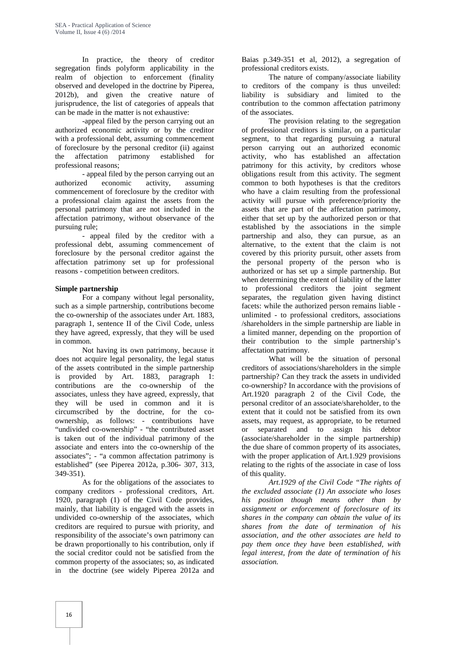In practice, the theory of creditor segregation finds polyform applicability in the realm of objection to enforcement (finality observed and developed in the doctrine by Piperea, 2012b), and given the creative nature of jurisprudence, the list of categories of appeals that can be made in the matter is not exhaustive:

-appeal filed by the person carrying out an authorized economic activity or by the creditor with a professional debt, assuming commencement of foreclosure by the personal creditor (ii) against the affectation patrimony established for professional reasons;

- appeal filed by the person carrying out an authorized economic activity, assuming commencement of foreclosure by the creditor with a professional claim against the assets from the personal patrimony that are not included in the affectation patrimony, without observance of the pursuing rule;

- appeal filed by the creditor with a professional debt, assuming commencement of foreclosure by the personal creditor against the affectation patrimony set up for professional reasons - competition between creditors.

#### **Simple partnership**

For a company without legal personality, such as a simple partnership, contributions become the co-ownership of the associates under Art. 1883, paragraph 1, sentence II of the Civil Code, unless they have agreed, expressly, that they will be used in common.

Not having its own patrimony, because it does not acquire legal personality, the legal status of the assets contributed in the simple partnership is provided by Art. 1883, paragraph 1: contributions are the co-ownership of the associates, unless they have agreed, expressly, that they will be used in common and it is circumscribed by the doctrine, for the co ownership, as follows: - contributions have "undivided co-ownership" - "the contributed asset is taken out of the individual patrimony of the associate and enters into the co-ownership of the associates"; - "a common affectation patrimony is established" (see Piperea 2012a, p.306- 307, 313, 349-351).

As for the obligations of the associates to company creditors - professional creditors, Art. 1920, paragraph (1) of the Civil Code provides, mainly, that liability is engaged with the assets in undivided co-ownership of the associates, which creditors are required to pursue with priority, and responsibility of the associate's own patrimony can be drawn proportionally to his contribution, only if the social creditor could not be satisfied from the common property of the associates; so, as indicated in the doctrine (see widely Piperea 2012a and

Baias p.349-351 et al, 2012), a segregation of professional creditors exists.

The nature of company/associate liability to creditors of the company is thus unveiled: liability is subsidiary and limited to the contribution to the common affectation patrimony of the associates.

The provision relating to the segregation of professional creditors is similar, on a particular segment, to that regarding pursuing a natural person carrying out an authorized economic activity, who has established an affectation patrimony for this activity, by creditors whose obligations result from this activity. The segment common to both hypotheses is that the creditors who have a claim resulting from the professional activity will pursue with preference/priority the assets that are part of the affectation patrimony, either that set up by the authorized person or that established by the associations in the simple partnership and also, they can pursue, as an alternative, to the extent that the claim is not covered by this priority pursuit, other assets from the personal property of the person who is authorized or has set up a simple partnership. But when determining the extent of liability of the latter to professional creditors the joint segment separates, the regulation given having distinct facets: while the authorized person remains liable unlimited - to professional creditors, associations /shareholders in the simple partnership are liable in a limited manner, depending on the proportion of their contribution to the simple partnership's affectation patrimony.

What will be the situation of personal creditors of associations/shareholders in the simple partnership? Can they track the assets in undivided co-ownership? In accordance with the provisions of Art.1920 paragraph 2 of the Civil Code, the personal creditor of an associate/shareholder, to the extent that it could not be satisfied from its own assets, may request, as appropriate, to be returned or separated and to assign his debtor (associate/shareholder in the simple partnership) the due share of common property of its associates, with the proper application of Art.1.929 provisions relating to the rights of the associate in case of loss of this quality.

*Art.1929 of the Civil Code "The rights of the excluded associate (1) An associate who loses his position though means other than by assignment or enforcement of foreclosure of its shares in the company can obtain the value of its shares from the date of termination of his association, and the other associates are held to pay them once they have been established, with legal interest, from the date of termination of his association.*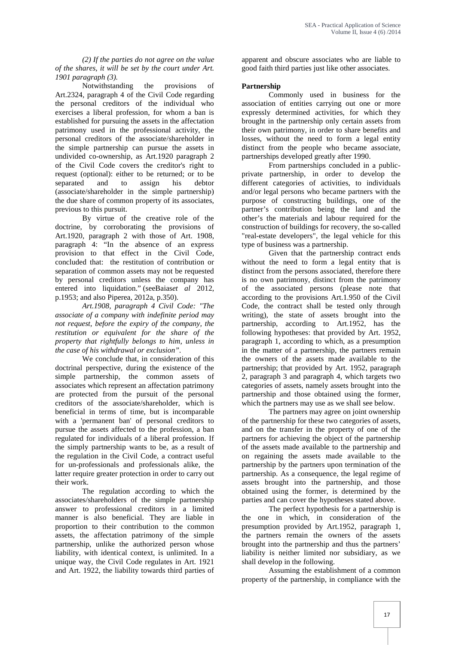*(2) If the parties do not agree on the value of the shares, it will be set by the court under Art. 1901 paragraph (3).*

Notwithstanding the provisions Art.2324, paragraph 4 of the Civil Code regarding the personal creditors of the individual who exercises a liberal profession, for whom a ban is established for pursuing the assets in the affectation patrimony used in the professional activity, the personal creditors of the associate/shareholder in the simple partnership can pursue the assets in undivided co-ownership, as Art.1920 paragraph 2 of the Civil Code covers the creditor's right to request (optional): either to be returned; or to be separated and to assign his debtor (associate/shareholder in the simple partnership) the due share of common property of its associates, previous to this pursuit.

By virtue of the creative role of the doctrine, by corroborating the provisions of Art.1920, paragraph 2 with those of Art. 1908, paragraph 4: "In the absence of an express provision to that effect in the Civil Code, concluded that: the restitution of contribution or separation of common assets may not be requested by personal creditors unless the company has entered into liquidation." (seeBaias*et al* 2012, p.1953; and also Piperea, 2012a, p.350).

*Art.1908, paragraph 4 Civil Code: "The associate of a company with indefinite period may not request, before the expiry of the company, the restitution or equivalent for the share of the property that rightfully belongs to him, unless in the case of his withdrawal or exclusion".*

We conclude that, in consideration of this doctrinal perspective, during the existence of the simple partnership, the common assets of associates which represent an affectation patrimony are protected from the pursuit of the personal creditors of the associate/shareholder, which is beneficial in terms of time, but is incomparable with a 'permanent ban' of personal creditors to pursue the assets affected to the profession, a ban regulated for individuals of a liberal profession. If the simply partnership wants to be, as a result of the regulation in the Civil Code, a contract useful for un-professionals and professionals alike, the latter require greater protection in order to carry out their work.

The regulation according to which the associates/shareholders of the simple partnership answer to professional creditors in a limited manner is also beneficial. They are liable in proportion to their contribution to the common assets, the affectation patrimony of the simple partnership, unlike the authorized person whose liability, with identical context, is unlimited. In a unique way, the Civil Code regulates in Art. 1921 and Art. 1922, the liability towards third parties of apparent and obscure associates who are liable to good faith third parties just like other associates.

#### **Partnership**

Commonly used in business for the association of entities carrying out one or more expressly determined activities, for which they brought in the partnership only certain assets from their own patrimony, in order to share benefits and losses, without the need to form a legal entity distinct from the people who became associate, partnerships developed greatly after 1990.

From partnerships concluded in a public private partnership, in order to develop the different categories of activities, to individuals and/or legal persons who became partners with the purpose of constructing buildings, one of the partner's contribution being the land and the other's the materials and labour required for the construction of buildings for recovery, the so-called "real-estate developers", the legal vehicle for this type of business was a partnership.

Given that the partnership contract ends without the need to form a legal entity that is distinct from the persons associated, therefore there is no own patrimony, distinct from the patrimony of the associated persons (please note that according to the provisions Art.1.950 of the Civil Code, the contract shall be tested only through writing), the state of assets brought into the partnership, according to Art.1952, has the following hypotheses: that provided by Art. 1952, paragraph 1, according to which, as a presumption in the matter of a partnership, the partners remain the owners of the assets made available to the partnership; that provided by Art. 1952, paragraph 2, paragraph 3 and paragraph 4, which targets two categories of assets, namely assets brought into the partnership and those obtained using the former, which the partners may use as we shall see below.

The partners may agree on joint ownership of the partnership for these two categories of assets, and on the transfer in the property of one of the partners for achieving the object of the partnership of the assets made available to the partnership and on regaining the assets made available to the partnership by the partners upon termination of the partnership. As a consequence, the legal regime of assets brought into the partnership, and those obtained using the former, is determined by the parties and can cover the hypotheses stated above.

The perfect hypothesis for a partnership is the one in which, in consideration of the presumption provided by Art.1952, paragraph 1, the partners remain the owners of the assets brought into the partnership and thus the partners' liability is neither limited nor subsidiary, as we shall develop in the following.

Assuming the establishment of a common property of the partnership, in compliance with the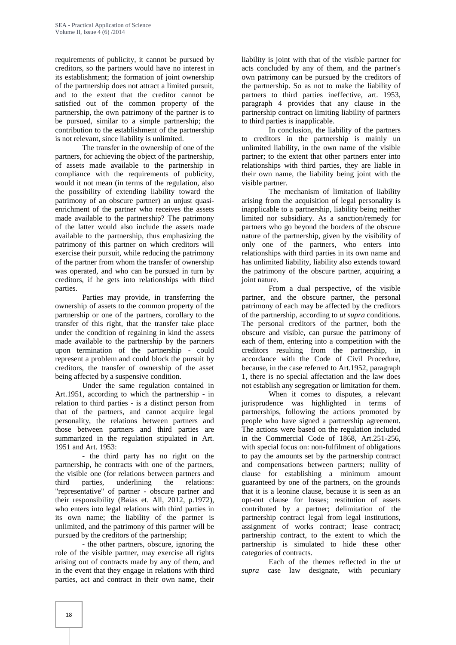requirements of publicity, it cannot be pursued by creditors, so the partners would have no interest in its establishment; the formation of joint ownership of the partnership does not attract a limited pursuit, and to the extent that the creditor cannot be satisfied out of the common property of the partnership, the own patrimony of the partner is to be pursued, similar to a simple partnership; the contribution to the establishment of the partnership is not relevant, since liability is unlimited.

The transfer in the ownership of one of the partners, for achieving the object of the partnership, of assets made available to the partnership in compliance with the requirements of publicity, would it not mean (in terms of the regulation, also the possibility of extending liability toward the patrimony of an obscure partner) an unjust quasi enrichment of the partner who receives the assets made available to the partnership? The patrimony of the latter would also include the assets made available to the partnership, thus emphasizing the patrimony of this partner on which creditors will exercise their pursuit, while reducing the patrimony of the partner from whom the transfer of ownership was operated, and who can be pursued in turn by creditors, if he gets into relationships with third parties.

Parties may provide, in transferring the ownership of assets to the common property of the partnership or one of the partners, corollary to the transfer of this right, that the transfer take place under the condition of regaining in kind the assets made available to the partnership by the partners upon termination of the partnership - could represent a problem and could block the pursuit by creditors, the transfer of ownership of the asset being affected by a suspensive condition.

Under the same regulation contained in Art.1951, according to which the partnership - in relation to third parties - is a distinct person from that of the partners, and cannot acquire legal personality, the relations between partners and those between partners and third parties are summarized in the regulation stipulated in Art. 1951 and Art. 1953:

- the third party has no right on the partnership, he contracts with one of the partners, the visible one (for relations between partners and third parties, underlining the relations: "representative" of partner - obscure partner and their responsibility (Baias et. All, 2012, p.1972), who enters into legal relations with third parties in its own name; the liability of the partner is unlimited, and the patrimony of this partner will be pursued by the creditors of the partnership;

- the other partners, obscure, ignoring the role of the visible partner, may exercise all rights arising out of contracts made by any of them, and in the event that they engage in relations with third parties, act and contract in their own name, their

liability is joint with that of the visible partner for acts concluded by any of them, and the partner's own patrimony can be pursued by the creditors of the partnership. So as not to make the liability of partners to third parties ineffective, art. 1953, paragraph 4 provides that any clause in the partnership contract on limiting liability of partners to third parties is inapplicable.

In conclusion, the liability of the partners to creditors in the partnership is mainly un unlimited liability, in the own name of the visible partner; to the extent that other partners enter into relationships with third parties, they are liable in their own name, the liability being joint with the visible partner.

The mechanism of limitation of liability arising from the acquisition of legal personality is inapplicable to a partnership, liability being neither limited nor subsidiary. As a sanction/remedy for partners who go beyond the borders of the obscure nature of the partnership, given by the visibility of only one of the partners, who enters into relationships with third parties in its own name and has unlimited liability, liability also extends toward the patrimony of the obscure partner, acquiring a joint nature.

From a dual perspective, of the visible partner, and the obscure partner, the personal patrimony of each may be affected by the creditors of the partnership, according to *ut supra* conditions. The personal creditors of the partner, both the obscure and visible, can pursue the patrimony of each of them, entering into a competition with the creditors resulting from the partnership, in accordance with the Code of Civil Procedure, because, in the case referred to Art.1952, paragraph 1, there is no special affectation and the law does not establish any segregation or limitation for them.

When it comes to disputes, a relevant jurisprudence was highlighted in terms of partnerships, following the actions promoted by people who have signed a partnership agreement. The actions were based on the regulation included in the Commercial Code of 1868, Art.251-256, with special focus on: non-fulfilment of obligations to pay the amounts set by the partnership contract and compensations between partners; nullity of clause for establishing a minimum amount guaranteed by one of the partners, on the grounds that it is a leonine clause, because it is seen as an opt-out clause for losses; restitution of assets contributed by a partner; delimitation of the partnership contract legal from legal institutions, assignment of works contract; lease contract; partnership contract, to the extent to which the partnership is simulated to hide these other categories of contracts.

Each of the themes reflected in the *ut supra* case law designate, with pecuniary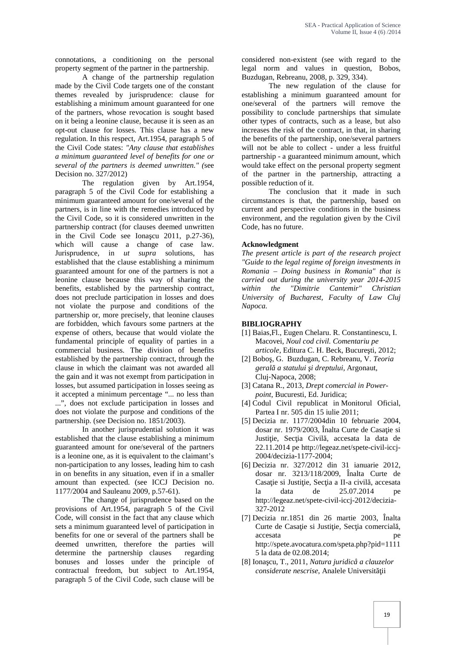connotations, a conditioning on the personal property segment of the partner in the partnership.

A change of the partnership regulation made by the Civil Code targets one of the constant themes revealed by jurisprudence: clause for establishing a minimum amount guaranteed for one of the partners, whose revocation is sought based on it being a leonine clause, because it is seen as an opt-out clause for losses. This clause has a new regulation. In this respect, Art.1954, paragraph 5 of the Civil Code states: *"Any clause that establishes a minimum guaranteed level of benefits for one or several of the partners is deemed unwritten." (*see Decision no. 327/2012)

The regulation given by Art.1954, paragraph 5 of the Civil Code for establishing a minimum guaranteed amount for one/several of the partners, is in line with the remedies introduced by the Civil Code, so it is considered unwritten in the partnership contract (for clauses deemed unwritten in the Civil Code see Iona cu  $2011$ , p.27-36), which will cause a change of case law. Jurisprudence, in *ut supra* solutions, has established that the clause establishing a minimum guaranteed amount for one of the partners is not a leonine clause because this way of sharing the benefits, established by the partnership contract, does not preclude participation in losses and does not violate the purpose and conditions of the partnership or, more precisely, that leonine clauses are forbidden, which favours some partners at the expense of others, because that would violate the fundamental principle of equality of parties in a commercial business. The division of benefits established by the partnership contract, through the clause in which the claimant was not awarded all the gain and it was not exempt from participation in losses, but assumed participation in losses seeing as it accepted a minimum percentage "... no less than ...", does not exclude participation in losses and does not violate the purpose and conditions of the partnership. (see Decision no. 1851/2003).

In another jurisprudential solution it was established that the clause establishing a minimum guaranteed amount for one/several of the partners is a leonine one, as it is equivalent to the claimant's non-participation to any losses, leading him to cash in on benefits in any situation, even if in a smaller amount than expected. (see ICCJ Decision no. 1177/2004 and Sauleanu 2009, p.57-61).

The change of jurisprudence based on the provisions of Art.1954, paragraph 5 of the Civil Code, will consist in the fact that any clause which sets a minimum guaranteed level of participation in benefits for one or several of the partners shall be deemed unwritten, therefore the parties will determine the partnership clauses regarding bonuses and losses under the principle of contractual freedom, but subject to Art.1954, paragraph 5 of the Civil Code, such clause will be

considered non-existent (see with regard to the legal norm and values in question, Bobos, Buzdugan, Rebreanu, 2008*,* p. 329, 334).

The new regulation of the clause for establishing a minimum guaranteed amount for one/several of the partners will remove the possibility to conclude partnerships that simulate other types of contracts, such as a lease, but also increases the risk of the contract, in that, in sharing the benefits of the partnership, one/several partners will not be able to collect - under a less fruitful partnership - a guaranteed minimum amount, which would take effect on the personal property segment of the partner in the partnership, attracting a possible reduction of it.

The conclusion that it made in such circumstances is that, the partnership, based on current and perspective conditions in the business environment, and the regulation given by the Civil Code, has no future.

#### **Acknowledgment**

*The present article is part of the research project "Guide to the legal regime of foreign investments in Romania – Doing business in Romania" that is carried out during the university year 2014-2015 within the "Dimitrie Cantemir" Christian University of Bucharest, Faculty of Law Cluj Napoca.*

#### **BIBLIOGRAPHY**

- [1] Baias,Fl., Eugen Chelaru. R. Constantinescu, I. Macovei, *Noul cod civil. Comentariu pe articole*, Editura C. H. Beck, Bucure ti, 2012;
- [2] Boboş, G. Buzdugan, C. Rebreanu, V. *Teoria gerală a statului şi dreptului,* Argonaut, Cluj‐Napoca, 2008;
- [3] Catana R., 2013, *Drept comercial in Power point*, Bucuresti, Ed. Juridica;
- [4] Codul Civil republicat in Monitorul Oficial, Partea I nr. 505 din 15 iulie 2011;
- [5] Decizia nr. 1177/2004din 10 februarie 2004, dosar nr. 1979/2003, Înalta Curte de Casa ie si Justi ie, Sec ia Civil, accesata la data de 22.11.2014 pe http://legeaz.net/spete-civil-iccj- 2004/decizia-1177-2004;
- [6] Decizia nr. 327/2012 din 31 ianuarie 2012, dosar nr. 3213/118/2009, Înalta Curte de Casa je si Justi je, Sec ja a II-a civil, accesata la data de 25.07.2014 pe http://legeaz.net/spete-civil-iccj-2012/decizia- 327-2012
- [7] Decizia nr.1851 din 26 martie 2003, Înalta Curte de Casa ie si Justi ie, Sec ia comercial, accesata per contra per contra per contra per contra per contra per contra per contra per contra per contra per http://spete.avocatura.com/speta.php?pid=1111 5 la data de 02.08.2014;
- [8] Ionaşcu, T., 2011, *Natura juridicå a clauzelor considerate nescrise*, Analele Universit ii